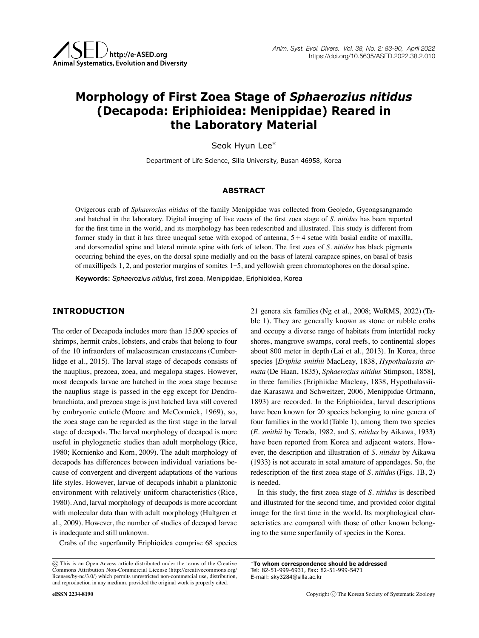# **Morphology of First Zoea Stage of** *Sphaerozius nitidus* **(Decapoda: Eriphioidea: Menippidae) Reared in the Laboratory Material**

Seok Hyun Lee\*

Department of Life Science, Silla University, Busan 46958, Korea

## **ABSTRACT**

Ovigerous crab of *Sphaerozius nitidus* of the family Menippidae was collected from Geojedo, Gyeongsangnamdo and hatched in the laboratory. Digital imaging of live zoeas of the first zoea stage of *S. nitidus* has been reported for the first time in the world, and its morphology has been redescribed and illustrated. This study is different from former study in that it has three unequal setae with exopod of antenna, 5+4 setae with basial endite of maxilla, and dorsomedial spine and lateral minute spine with fork of telson. The first zoea of *S. nitidus* has black pigments occurring behind the eyes, on the dorsal spine medially and on the basis of lateral carapace spines, on basal of basis of maxillipeds 1, 2, and posterior margins of somites 1-5, and yellowish green chromatophores on the dorsal spine.

**Keywords:** *Sphaerozius nitidus*, first zoea, Menippidae, Eriphioidea, Korea

## **INTRODUCTION**

The order of Decapoda includes more than 15,000 species of shrimps, hermit crabs, lobsters, and crabs that belong to four of the 10 infraorders of malacostracan crustaceans (Cumberlidge et al., 2015). The larval stage of decapods consists of the nauplius, prezoea, zoea, and megalopa stages. However, most decapods larvae are hatched in the zoea stage because the nauplius stage is passed in the egg except for Dendrobranchiata, and prezoea stage is just hatched lava still covered by embryonic cuticle (Moore and McCormick, 1969), so, the zoea stage can be regarded as the first stage in the larval stage of decapods. The larval morphology of decapod is more useful in phylogenetic studies than adult morphology (Rice, 1980; Kornienko and Korn, 2009). The adult morphology of decapods has differences between individual variations because of convergent and divergent adaptations of the various life styles. However, larvae of decapods inhabit a planktonic environment with relatively uniform characteristics (Rice, 1980). And, larval morphology of decapods is more accordant with molecular data than with adult morphology (Hultgren et al., 2009). However, the number of studies of decapod larvae is inadequate and still unknown.

Crabs of the superfamily Eriphioidea comprise 68 species

21 genera six families (Ng et al., 2008; WoRMS, 2022) (Table 1). They are generally known as stone or rubble crabs and occupy a diverse range of habitats from intertidal rocky shores, mangrove swamps, coral reefs, to continental slopes about 800 meter in depth (Lai et al., 2013). In Korea, three species [*Eriphia smithii* MacLeay, 1838, *Hypothalassia armata* (De Haan, 1835), *Sphaerozius nitidus* Stimpson, 1858], in three families (Eriphiidae Macleay, 1838, Hypothalassiidae Karasawa and Schweitzer, 2006, Menippidae Ortmann, 1893) are recorded. In the Eriphioidea, larval descriptions have been known for 20 species belonging to nine genera of four families in the world (Table 1), among them two species (*E. smithii* by Terada, 1982, and *S. nitidus* by Aikawa, 1933) have been reported from Korea and adjacent waters. However, the description and illustration of *S. nitidus* by Aikawa (1933) is not accurate in setal amature of appendages. So, the redescription of the first zoea stage of *S. nitidus*(Figs. 1B, 2) is needed.

In this study, the first zoea stage of *S. nitidus* is described and illustrated for the second time, and provided color digital image for the first time in the world. Its morphological characteristics are compared with those of other known belonging to the same superfamily of species in the Korea.

\***To whom correspondence should be addressed** Tel: 82-51-999-6931, Fax: 82-51-999-5471 E-mail: sky3284@silla.ac.kr

This is an Open Access article distributed under the terms of the Creative Commons Attribution Non-Commercial License (http://creativecommons.org/ licenses/by-nc/3.0/) which permits unrestricted non-commercial use, distribution, and reproduction in any medium, provided the original work is properly cited.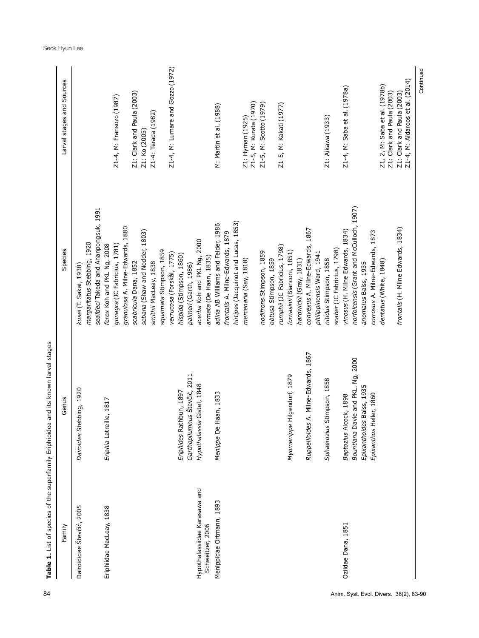| Z1-4, M: Lumare and Gozzo (1972)<br>Z1-4, M: Aidaroos et al. (2014)<br>Z1, 2, M: Saba et al. (1978b)<br>Z1-4, M: Saba et al. (1978a)<br>Z1: Clark and Paula (2003)<br>Z1: Clark and Paula (2003)<br>Z1: Clark and Paula (2003)<br>Z1-4, M: Fransozo (1987)<br>Z1-5, M: Kurata (1970)<br>Z1-5, M: Scotto (1979)<br>Z1-5, M: Kakati (1977)<br>M: Martin et al. (1988)<br>Z1-4: Terada (1982)<br>Z1: Aikawa (1933)<br>Z1: Hyman (1925)<br>Z1: Ko (2005)<br>norfolcensis (Grant and McCulloch, 1907)<br>seafdeci Takeda and Ananpongsuk, 1991<br>hirtipes (Jacquinot and Lucas, 1853)<br>adina AB Williams and Felder, 1986<br>granulosa A. Milne-Edwards, 1880<br>frontalis (H. Milne Edwards, 1834)<br>convexus A. Milne-Edwards, 1867<br>vinosus (H. Milne Edwards, 1834)<br>sebana (Shaw and Nodder, 1803)<br>corrosus A. Milne-Edwards, 1873<br>frontalis A. Milne-Edwards, 1879<br>acerba Koh and PKL Ng, 2000<br>margaritatus Stebbing, 1920<br>ferox Koh and PKL Ng, 2008<br>gonagra (JC Fabricius, 1781)<br>rumphii (JC Fabricius, 1798)<br>scaber (JC Fabricius, 1798)<br>squamata Stimpson, 1859<br>fornasinii (Bianconi, 1851)<br>nodifrons Stimpson, 1859<br>philippinensis Ward, 1941<br>verrucosa (Forskål, 1775)<br>hispida (Stimpson, 1860)<br>armata (De Haan, 1835)<br>nitidus Stimpson, 1858<br>obtusa Stimpson, 1859<br>mercenaria (Say, 1818)<br>hardwickii (Gray, 1831)<br>dentatus (White, 1848)<br>smithii MacLeay, 1838<br>scabricula Dana, 1852<br>anomalus Balss, 1935<br>palmeri (Garth, 1986)<br>kusei (T. Sakai, 1938)<br>A. Milne-Edwards, 1867<br>Bountiana Davie and PKL. Ng, 2000<br>Garthopilumnus Števčić, 2011<br>Hilgendorf, 1879<br>Stimpson, 1858<br>Hypothalassia Gistel, 1848<br>Epixanthoides Balss, 1935<br>Dairoides Stebbing, 1920<br>Eriphides Rathbun, 1897<br>Haan, 1833<br>leller, 1860<br>Baptozius Alcock, 1898<br>Eriphia Latreille, 1817<br>Ruppellioides<br>Myomenippe<br>Epixanthus H<br>Menippe De<br>Sphaerozius<br>Hypothalassiidae Karasawa and<br>Menippidae Ortmann, 1893<br>Dairoididae Števčić, 2005<br>Eriphiidae MacLeay, 1838<br>Oziidae Dana, 1851<br>Schweitzer, 2006 | Family | Genus | Species | Larval stages and Sources |
|-----------------------------------------------------------------------------------------------------------------------------------------------------------------------------------------------------------------------------------------------------------------------------------------------------------------------------------------------------------------------------------------------------------------------------------------------------------------------------------------------------------------------------------------------------------------------------------------------------------------------------------------------------------------------------------------------------------------------------------------------------------------------------------------------------------------------------------------------------------------------------------------------------------------------------------------------------------------------------------------------------------------------------------------------------------------------------------------------------------------------------------------------------------------------------------------------------------------------------------------------------------------------------------------------------------------------------------------------------------------------------------------------------------------------------------------------------------------------------------------------------------------------------------------------------------------------------------------------------------------------------------------------------------------------------------------------------------------------------------------------------------------------------------------------------------------------------------------------------------------------------------------------------------------------------------------------------------------------------------------------------------------------------------------------------------------------------------------------------------------------------------------|--------|-------|---------|---------------------------|
|                                                                                                                                                                                                                                                                                                                                                                                                                                                                                                                                                                                                                                                                                                                                                                                                                                                                                                                                                                                                                                                                                                                                                                                                                                                                                                                                                                                                                                                                                                                                                                                                                                                                                                                                                                                                                                                                                                                                                                                                                                                                                                                                         |        |       |         |                           |
|                                                                                                                                                                                                                                                                                                                                                                                                                                                                                                                                                                                                                                                                                                                                                                                                                                                                                                                                                                                                                                                                                                                                                                                                                                                                                                                                                                                                                                                                                                                                                                                                                                                                                                                                                                                                                                                                                                                                                                                                                                                                                                                                         |        |       |         |                           |
|                                                                                                                                                                                                                                                                                                                                                                                                                                                                                                                                                                                                                                                                                                                                                                                                                                                                                                                                                                                                                                                                                                                                                                                                                                                                                                                                                                                                                                                                                                                                                                                                                                                                                                                                                                                                                                                                                                                                                                                                                                                                                                                                         |        |       |         |                           |
|                                                                                                                                                                                                                                                                                                                                                                                                                                                                                                                                                                                                                                                                                                                                                                                                                                                                                                                                                                                                                                                                                                                                                                                                                                                                                                                                                                                                                                                                                                                                                                                                                                                                                                                                                                                                                                                                                                                                                                                                                                                                                                                                         |        |       |         |                           |
|                                                                                                                                                                                                                                                                                                                                                                                                                                                                                                                                                                                                                                                                                                                                                                                                                                                                                                                                                                                                                                                                                                                                                                                                                                                                                                                                                                                                                                                                                                                                                                                                                                                                                                                                                                                                                                                                                                                                                                                                                                                                                                                                         |        |       |         |                           |
|                                                                                                                                                                                                                                                                                                                                                                                                                                                                                                                                                                                                                                                                                                                                                                                                                                                                                                                                                                                                                                                                                                                                                                                                                                                                                                                                                                                                                                                                                                                                                                                                                                                                                                                                                                                                                                                                                                                                                                                                                                                                                                                                         |        |       |         |                           |
|                                                                                                                                                                                                                                                                                                                                                                                                                                                                                                                                                                                                                                                                                                                                                                                                                                                                                                                                                                                                                                                                                                                                                                                                                                                                                                                                                                                                                                                                                                                                                                                                                                                                                                                                                                                                                                                                                                                                                                                                                                                                                                                                         |        |       |         |                           |
|                                                                                                                                                                                                                                                                                                                                                                                                                                                                                                                                                                                                                                                                                                                                                                                                                                                                                                                                                                                                                                                                                                                                                                                                                                                                                                                                                                                                                                                                                                                                                                                                                                                                                                                                                                                                                                                                                                                                                                                                                                                                                                                                         |        |       |         |                           |
|                                                                                                                                                                                                                                                                                                                                                                                                                                                                                                                                                                                                                                                                                                                                                                                                                                                                                                                                                                                                                                                                                                                                                                                                                                                                                                                                                                                                                                                                                                                                                                                                                                                                                                                                                                                                                                                                                                                                                                                                                                                                                                                                         |        |       |         |                           |
|                                                                                                                                                                                                                                                                                                                                                                                                                                                                                                                                                                                                                                                                                                                                                                                                                                                                                                                                                                                                                                                                                                                                                                                                                                                                                                                                                                                                                                                                                                                                                                                                                                                                                                                                                                                                                                                                                                                                                                                                                                                                                                                                         |        |       |         |                           |
|                                                                                                                                                                                                                                                                                                                                                                                                                                                                                                                                                                                                                                                                                                                                                                                                                                                                                                                                                                                                                                                                                                                                                                                                                                                                                                                                                                                                                                                                                                                                                                                                                                                                                                                                                                                                                                                                                                                                                                                                                                                                                                                                         |        |       |         |                           |
|                                                                                                                                                                                                                                                                                                                                                                                                                                                                                                                                                                                                                                                                                                                                                                                                                                                                                                                                                                                                                                                                                                                                                                                                                                                                                                                                                                                                                                                                                                                                                                                                                                                                                                                                                                                                                                                                                                                                                                                                                                                                                                                                         |        |       |         |                           |
|                                                                                                                                                                                                                                                                                                                                                                                                                                                                                                                                                                                                                                                                                                                                                                                                                                                                                                                                                                                                                                                                                                                                                                                                                                                                                                                                                                                                                                                                                                                                                                                                                                                                                                                                                                                                                                                                                                                                                                                                                                                                                                                                         |        |       |         |                           |
|                                                                                                                                                                                                                                                                                                                                                                                                                                                                                                                                                                                                                                                                                                                                                                                                                                                                                                                                                                                                                                                                                                                                                                                                                                                                                                                                                                                                                                                                                                                                                                                                                                                                                                                                                                                                                                                                                                                                                                                                                                                                                                                                         |        |       |         |                           |
|                                                                                                                                                                                                                                                                                                                                                                                                                                                                                                                                                                                                                                                                                                                                                                                                                                                                                                                                                                                                                                                                                                                                                                                                                                                                                                                                                                                                                                                                                                                                                                                                                                                                                                                                                                                                                                                                                                                                                                                                                                                                                                                                         |        |       |         |                           |
|                                                                                                                                                                                                                                                                                                                                                                                                                                                                                                                                                                                                                                                                                                                                                                                                                                                                                                                                                                                                                                                                                                                                                                                                                                                                                                                                                                                                                                                                                                                                                                                                                                                                                                                                                                                                                                                                                                                                                                                                                                                                                                                                         |        |       |         |                           |
|                                                                                                                                                                                                                                                                                                                                                                                                                                                                                                                                                                                                                                                                                                                                                                                                                                                                                                                                                                                                                                                                                                                                                                                                                                                                                                                                                                                                                                                                                                                                                                                                                                                                                                                                                                                                                                                                                                                                                                                                                                                                                                                                         |        |       |         |                           |
|                                                                                                                                                                                                                                                                                                                                                                                                                                                                                                                                                                                                                                                                                                                                                                                                                                                                                                                                                                                                                                                                                                                                                                                                                                                                                                                                                                                                                                                                                                                                                                                                                                                                                                                                                                                                                                                                                                                                                                                                                                                                                                                                         |        |       |         |                           |
|                                                                                                                                                                                                                                                                                                                                                                                                                                                                                                                                                                                                                                                                                                                                                                                                                                                                                                                                                                                                                                                                                                                                                                                                                                                                                                                                                                                                                                                                                                                                                                                                                                                                                                                                                                                                                                                                                                                                                                                                                                                                                                                                         |        |       |         |                           |
|                                                                                                                                                                                                                                                                                                                                                                                                                                                                                                                                                                                                                                                                                                                                                                                                                                                                                                                                                                                                                                                                                                                                                                                                                                                                                                                                                                                                                                                                                                                                                                                                                                                                                                                                                                                                                                                                                                                                                                                                                                                                                                                                         |        |       |         |                           |
|                                                                                                                                                                                                                                                                                                                                                                                                                                                                                                                                                                                                                                                                                                                                                                                                                                                                                                                                                                                                                                                                                                                                                                                                                                                                                                                                                                                                                                                                                                                                                                                                                                                                                                                                                                                                                                                                                                                                                                                                                                                                                                                                         |        |       |         |                           |
|                                                                                                                                                                                                                                                                                                                                                                                                                                                                                                                                                                                                                                                                                                                                                                                                                                                                                                                                                                                                                                                                                                                                                                                                                                                                                                                                                                                                                                                                                                                                                                                                                                                                                                                                                                                                                                                                                                                                                                                                                                                                                                                                         |        |       |         |                           |
|                                                                                                                                                                                                                                                                                                                                                                                                                                                                                                                                                                                                                                                                                                                                                                                                                                                                                                                                                                                                                                                                                                                                                                                                                                                                                                                                                                                                                                                                                                                                                                                                                                                                                                                                                                                                                                                                                                                                                                                                                                                                                                                                         |        |       |         |                           |
|                                                                                                                                                                                                                                                                                                                                                                                                                                                                                                                                                                                                                                                                                                                                                                                                                                                                                                                                                                                                                                                                                                                                                                                                                                                                                                                                                                                                                                                                                                                                                                                                                                                                                                                                                                                                                                                                                                                                                                                                                                                                                                                                         |        |       |         |                           |
| Anim. Syst. Evol. Divers. 38(2), 83-90                                                                                                                                                                                                                                                                                                                                                                                                                                                                                                                                                                                                                                                                                                                                                                                                                                                                                                                                                                                                                                                                                                                                                                                                                                                                                                                                                                                                                                                                                                                                                                                                                                                                                                                                                                                                                                                                                                                                                                                                                                                                                                  |        |       |         |                           |
|                                                                                                                                                                                                                                                                                                                                                                                                                                                                                                                                                                                                                                                                                                                                                                                                                                                                                                                                                                                                                                                                                                                                                                                                                                                                                                                                                                                                                                                                                                                                                                                                                                                                                                                                                                                                                                                                                                                                                                                                                                                                                                                                         |        |       |         |                           |
|                                                                                                                                                                                                                                                                                                                                                                                                                                                                                                                                                                                                                                                                                                                                                                                                                                                                                                                                                                                                                                                                                                                                                                                                                                                                                                                                                                                                                                                                                                                                                                                                                                                                                                                                                                                                                                                                                                                                                                                                                                                                                                                                         |        |       |         |                           |
|                                                                                                                                                                                                                                                                                                                                                                                                                                                                                                                                                                                                                                                                                                                                                                                                                                                                                                                                                                                                                                                                                                                                                                                                                                                                                                                                                                                                                                                                                                                                                                                                                                                                                                                                                                                                                                                                                                                                                                                                                                                                                                                                         |        |       |         |                           |
|                                                                                                                                                                                                                                                                                                                                                                                                                                                                                                                                                                                                                                                                                                                                                                                                                                                                                                                                                                                                                                                                                                                                                                                                                                                                                                                                                                                                                                                                                                                                                                                                                                                                                                                                                                                                                                                                                                                                                                                                                                                                                                                                         |        |       |         |                           |
|                                                                                                                                                                                                                                                                                                                                                                                                                                                                                                                                                                                                                                                                                                                                                                                                                                                                                                                                                                                                                                                                                                                                                                                                                                                                                                                                                                                                                                                                                                                                                                                                                                                                                                                                                                                                                                                                                                                                                                                                                                                                                                                                         |        |       |         |                           |
|                                                                                                                                                                                                                                                                                                                                                                                                                                                                                                                                                                                                                                                                                                                                                                                                                                                                                                                                                                                                                                                                                                                                                                                                                                                                                                                                                                                                                                                                                                                                                                                                                                                                                                                                                                                                                                                                                                                                                                                                                                                                                                                                         |        |       |         |                           |
|                                                                                                                                                                                                                                                                                                                                                                                                                                                                                                                                                                                                                                                                                                                                                                                                                                                                                                                                                                                                                                                                                                                                                                                                                                                                                                                                                                                                                                                                                                                                                                                                                                                                                                                                                                                                                                                                                                                                                                                                                                                                                                                                         |        |       |         |                           |
|                                                                                                                                                                                                                                                                                                                                                                                                                                                                                                                                                                                                                                                                                                                                                                                                                                                                                                                                                                                                                                                                                                                                                                                                                                                                                                                                                                                                                                                                                                                                                                                                                                                                                                                                                                                                                                                                                                                                                                                                                                                                                                                                         |        |       |         |                           |
|                                                                                                                                                                                                                                                                                                                                                                                                                                                                                                                                                                                                                                                                                                                                                                                                                                                                                                                                                                                                                                                                                                                                                                                                                                                                                                                                                                                                                                                                                                                                                                                                                                                                                                                                                                                                                                                                                                                                                                                                                                                                                                                                         |        |       |         |                           |
|                                                                                                                                                                                                                                                                                                                                                                                                                                                                                                                                                                                                                                                                                                                                                                                                                                                                                                                                                                                                                                                                                                                                                                                                                                                                                                                                                                                                                                                                                                                                                                                                                                                                                                                                                                                                                                                                                                                                                                                                                                                                                                                                         |        |       |         |                           |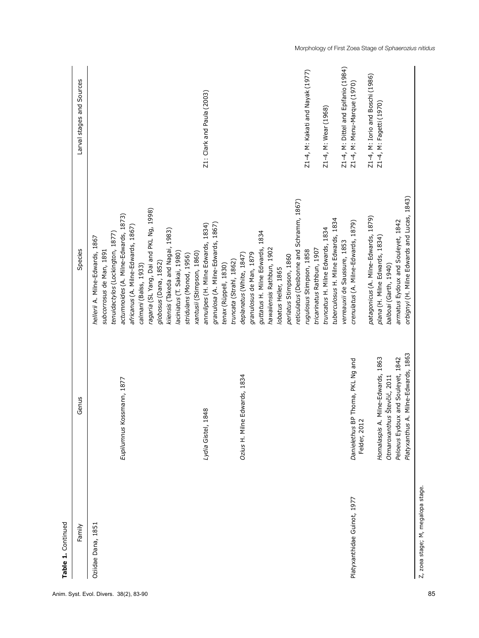| Family                      | Genus                                                                                                                                                                                               | Species                                                                                                                                                                                                                                                                                                                                                                                                 | Larval stages and Sources                                                                       |
|-----------------------------|-----------------------------------------------------------------------------------------------------------------------------------------------------------------------------------------------------|---------------------------------------------------------------------------------------------------------------------------------------------------------------------------------------------------------------------------------------------------------------------------------------------------------------------------------------------------------------------------------------------------------|-------------------------------------------------------------------------------------------------|
| Oziidae Dana, 1851          | Eupilumnus Kossmann, 1877                                                                                                                                                                           | ragaria (SL Yang, Dai and PKL Ng, 1998)<br>actumnoides (A. Milne-Edwards, 1873)<br>africanus (A. Milne-Edwards, 1867)<br>kiiensis (Takeda and Nagai, 1983)<br>tenuidactylos (Lockington, 1877)<br>hellerii A. Milne-Edwards, 1867<br>subcorrosus de Man, 1891<br>laciniatus (T. Sakai, 1980)<br>xantusii (Stimpson, 1860)<br>stridulans (Monod, 1956)<br>globosus (Dana, 1852)<br>calmani (Balss, 1933) |                                                                                                 |
|                             | 1848<br>Lydia Gistel,                                                                                                                                                                               | granulosa (A. Milne-Edwards, 1867)<br>annulipes (H. Milne Edwards, 1834)<br>truncata (Strahl, 1862)<br>tenax (Rüppell, 1830)                                                                                                                                                                                                                                                                            | Z1: Clark and Paula (2003)                                                                      |
|                             | Ozius H. Milne Edwards, 1834                                                                                                                                                                        | reticulatus (Desbonne and Schramm, 1867)<br>guttatus H. Milne Edwards, 1834<br>hawaiiensis Rathbun, 1902<br>granulosus de Man, 1879<br>deplanatus (White, 1847)<br>perlatus Stimpson, 1860<br>lobatus Heller, 1865                                                                                                                                                                                      |                                                                                                 |
|                             |                                                                                                                                                                                                     | tuberculosus H. Milne Edwards, 1834<br>truncatus H. Milne Edwards, 1834<br>verreauxii de Saussure, 1853<br>tricarinatus Rathbun, 1907<br>rugulosus Stimpson, 1858                                                                                                                                                                                                                                       | Z1-4, M: Dittel and Epifanio (1984)<br>Z1-4, M: Kakati and Nayak (1977)<br>Z1-4, M: Wear (1968) |
| Platyxanthidae Guinot, 1977 | A. Milne-Edwards, 1863<br>Homalaspis A. Milne-Edwards, 1863<br>Peloeus Eydoux and Souleyet, 1842<br>Danielethus BP Thoma, PKL Ng and<br>Otmaroxanthus Števčić, 2011<br>Felder, 2012<br>Platyxanthus | orbignyi (H. Milne Edwards and Lucas, 1843)<br>patagonicus (A. Milne-Edwards, 1879)<br>armatus Eydoux and Souleyet, 1842<br>crenulatus (A. Milne-Edwards, 1879)<br>plana (H. Milne Edwards, 1834)<br>balboai (Garth, 1940)                                                                                                                                                                              | Z1-4, M: Iorio and Boschi (1986)<br>Z1-4, M: Menu-Marque (1970)<br>Z1-4, M: Fagetti (1970)      |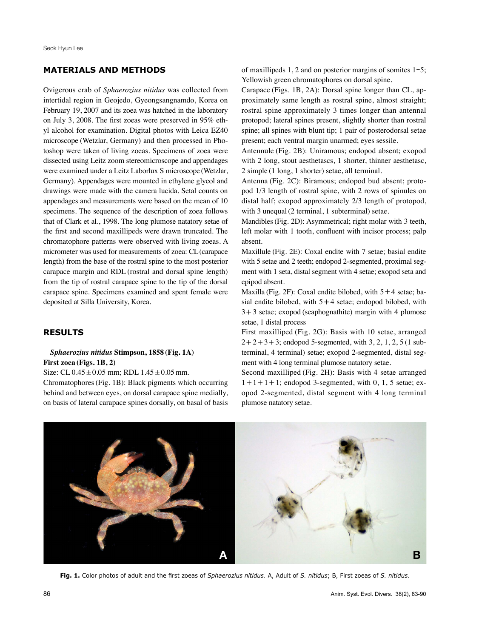# **MATERIALS AND METHODS**

Ovigerous crab of *Sphaerozius nitidus* was collected from intertidal region in Geojedo, Gyeongsangnamdo, Korea on February 19, 2007 and its zoea was hatched in the laboratory on July 3, 2008. The first zoeas were preserved in 95% ethyl alcohol for examination. Digital photos with Leica EZ40 microscope (Wetzlar, Germany) and then processed in Photoshop were taken of living zoeas. Specimens of zoea were dissected using Leitz zoom stereomicroscope and appendages were examined under a Leitz Laborlux S microscope (Wetzlar, Germany). Appendages were mounted in ethylene glycol and drawings were made with the camera lucida. Setal counts on appendages and measurements were based on the mean of 10 specimens. The sequence of the description of zoea follows that of Clark et al., 1998. The long plumose natatory setae of the first and second maxillipeds were drawn truncated. The chromatophore patterns were observed with living zoeas. A micrometer was used for measurements of zoea: CL(carapace length) from the base of the rostral spine to the most posterior carapace margin and RDL (rostral and dorsal spine length) from the tip of rostral carapace spine to the tip of the dorsal carapace spine. Specimens examined and spent female were deposited at Silla University, Korea.

#### **RESULTS**

### *Sphaerozius nitidus* **Stimpson, 1858 (Fig. 1A) First zoea (Figs. 1B, 2)**

Size: CL 0.45±0.05 mm; RDL 1.45±0.05 mm.

Chromatophores(Fig. 1B): Black pigments which occurring behind and between eyes, on dorsal carapace spine medially, on basis of lateral carapace spines dorsally, on basal of basis

of maxillipeds 1, 2 and on posterior margins of somites 1-5; Yellowish green chromatophores on dorsal spine.

Carapace (Figs. 1B, 2A): Dorsal spine longer than CL, approximately same length as rostral spine, almost straight; rostral spine approximately 3 times longer than antennal protopod; lateral spines present, slightly shorter than rostral spine; all spines with blunt tip; 1 pair of posterodorsal setae present; each ventral margin unarmed; eyes sessile.

Antennule (Fig. 2B): Uniramous; endopod absent; exopod with 2 long, stout aesthetascs, 1 shorter, thinner aesthetasc, 2 simple (1 long, 1 shorter) setae, all terminal.

Antenna (Fig. 2C): Biramous; endopod bud absent; protopod 1/3 length of rostral spine, with 2 rows of spinules on distal half; exopod approximately 2/3 length of protopod, with 3 unequal (2 terminal, 1 subterminal) setae.

Mandibles(Fig. 2D): Asymmetrical; right molar with 3 teeth, left molar with 1 tooth, confluent with incisor process; palp absent.

Maxillule (Fig. 2E): Coxal endite with 7 setae; basial endite with 5 setae and 2 teeth; endopod 2-segmented, proximal segment with 1 seta, distal segment with 4 setae; exopod seta and epipod absent.

Maxilla (Fig. 2F): Coxal endite bilobed, with  $5+4$  setae; basial endite bilobed, with  $5+4$  setae; endopod bilobed, with  $3+3$  setae; exopod (scaphognathite) margin with 4 plumose setae, 1 distal process

First maxilliped (Fig. 2G): Basis with 10 setae, arranged  $2+2+3+3$ ; endopod 5-segmented, with 3, 2, 1, 2, 5 (1 subterminal, 4 terminal) setae; exopod 2-segmented, distal segment with 4 long terminal plumose natatory setae.

Second maxilliped (Fig. 2H): Basis with 4 setae arranged  $1+1+1$ ; endopod 3-segmented, with 0, 1, 5 setae; exopod 2-segmented, distal segment with 4 long terminal plumose natatory setae.



**Fig. 1.** Color photos of adult and the first zoeas of *Sphaerozius nitidus*. A, Adult of *S. nitidus*; B, First zoeas of *S. nitidus*.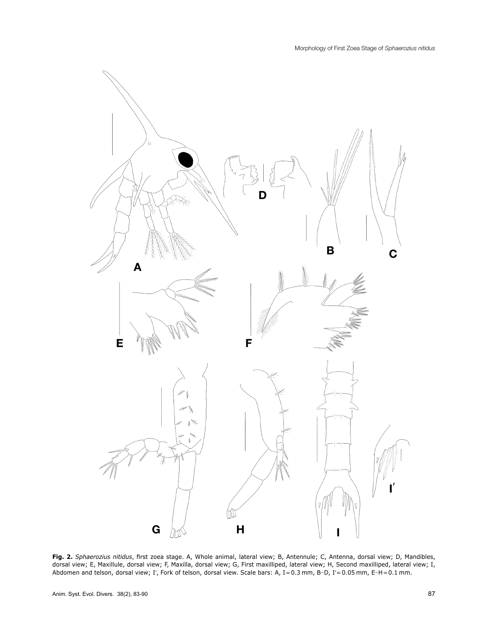

**Fig. 2.** *Sphaerozius nitidus*, first zoea stage. A, Whole animal, lateral view; B, Antennule; C, Antenna, dorsal view; D, Mandibles, dorsal view; E, Maxillule, dorsal view; F, Maxilla, dorsal view; G, First maxilliped, lateral view; H, Second maxilliped, lateral view; I, Abdomen and telson, dorsal view; Iʹ, Fork of telson, dorsal view. Scale bars: A, I=0.3 mm, B-D, Iʹ=0.05 mm, E-H=0.1 mm.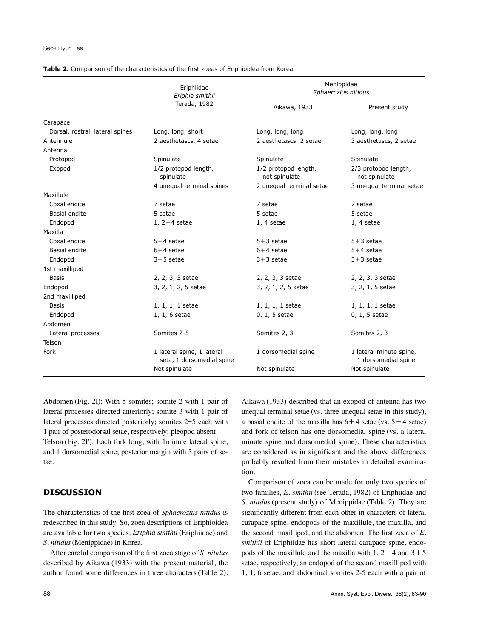|                                 | Eriphiidae<br>Eriphia smithii<br>Terada, 1982           | Menippidae<br>Sphaerozius nitidus     |                                                |
|---------------------------------|---------------------------------------------------------|---------------------------------------|------------------------------------------------|
|                                 |                                                         | Aikawa, 1933                          | Present study                                  |
| Carapace                        |                                                         |                                       |                                                |
| Dorsal, rostral, lateral spines | Long, long, short                                       | Long, long, long                      | Long, long, long                               |
| Antennule                       | 2 aesthetascs, 4 setae                                  | 2 aesthetascs, 2 setae                | 3 aesthetascs, 2 setae                         |
| Antenna                         |                                                         |                                       |                                                |
| Protopod                        | Spinulate                                               | Spinulate                             | Spinulate                                      |
| Exopod                          | 1/2 protopod length,<br>spinulate                       | 1/2 protopod length,<br>not spinulate | 2/3 protopod length,<br>not spinulate          |
|                                 | 4 unequal terminal spines                               | 2 unequal terminal setae              | 3 unequal terminal setae                       |
| Maxillule                       |                                                         |                                       |                                                |
| Coxal endite                    | 7 setae                                                 | 7 setae                               | 7 setae                                        |
| Basial endite                   | 5 setae                                                 | 5 setae                               | 5 setae                                        |
| Endopod                         | 1, $2+4$ setae                                          | $1, 4$ setae                          | 1, 4 setae                                     |
| Maxilla                         |                                                         |                                       |                                                |
| Coxal endite                    | $5+4$ setae                                             | $5+3$ setae                           | $5+3$ setae                                    |
| Basial endite                   | $6+4$ setae                                             | $6+4$ setae                           | $5+4$ setae                                    |
| Endopod                         | $3 + 5$ setae                                           | $3 + 3$ setae                         | $3 + 3$ setae                                  |
| 1st maxilliped                  |                                                         |                                       |                                                |
| <b>Basis</b>                    | 2, 2, 3, 3 setae                                        | 2, 2, 3, 3 setae                      | 2, 2, 3, 3 setae                               |
| Endopod                         | 3, 2, 1, 2, 5 setae                                     | 3, 2, 1, 2, 5 setae                   | 3, 2, 1, 5 setae                               |
| 2nd maxilliped                  |                                                         |                                       |                                                |
| Basis                           | 1, 1, 1, 1 setae                                        | $1, 1, 1, 1$ setae                    | 1, 1, 1, 1 setae                               |
| Endopod                         | 1, 1, 6 setae                                           | 0, 1, 5 setae                         | 0, 1, 5 setae                                  |
| Abdomen                         |                                                         |                                       |                                                |
| Lateral processes               | Somites 2-5                                             | Somites 2, 3                          | Somites 2, 3                                   |
| Telson                          |                                                         |                                       |                                                |
| Fork                            | 1 lateral spine, 1 lateral<br>seta, 1 dorsomedial spine | 1 dorsomedial spine                   | 1 lateral minute spine,<br>1 dorsomedial spine |
|                                 | Not spinulate                                           | Not spinulate                         | Not spinulate                                  |

#### **Table 2.** Comparison of the characteristics of the first zoeas of Eriphioidea from Korea

Abdomen (Fig. 2I): With 5 somites; somite 2 with 1 pair of lateral processes directed anteriorly; somite 3 with 1 pair of lateral processes directed posteriorly; somites 2-5 each with 1 pair of posterodorsal setae, respectively; pleopod absent. Telson (Fig. 2I'): Each fork long, with 1 minute lateral spine, and 1 dorsomedial spine; posterior margin with 3 pairs of se-

#### **DISCUSSION**

The characteristics of the first zoea of *Sphaerozius nitidus* is redescribed in this study. So, zoea descriptions of Eriphioidea are available for two species, *Eriphia smithii*(Eriphiidae) and *S. nitidus*(Menippidae) in Korea.

After careful comparison of the first zoea stage of *S. nitidus* described by Aikawa (1933) with the present material, the author found some differences in three characters (Table 2).

tae.

Aikawa (1933) described that an exopod of antenna has two unequal terminal setae (vs. three unequal setae in this study), a basial endite of the maxilla has  $6+4$  setae (vs.  $5+4$  setae) and fork of telson has one dorsomedial spine (vs. a lateral minute spine and dorsomedial spine). These characteristics are considered as in significant and the above differences probably resulted from their mistakes in detailed examination.

Comparison of zoea can be made for only two species of two families, *E. smithii* (see Terada, 1982) of Eriphiidae and *S. nitidus* (present study) of Menippidae (Table 2). They are significantly different from each other in characters of lateral carapace spine, endopods of the maxillule, the maxilla, and the second maxilliped, and the abdomen. The first zoea of *E. smithii* of Eriphiidae has short lateral carapace spine, endopods of the maxillule and the maxilla with  $1, 2+4$  and  $3+5$ setae, respectively, an endopod of the second maxilliped with 1, 1, 6 setae, and abdominal somites 2-5 each with a pair of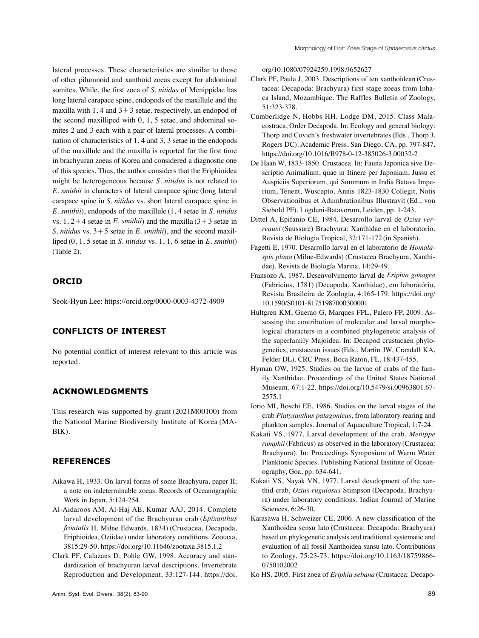lateral processes. These characteristics are similar to those of other pilumnoid and xanthoid zoeas except for abdominal somites. While, the first zoea of *S. nitidus* of Menippidae has long lateral carapace spine, endopods of the maxillule and the maxilla with  $1, 4$  and  $3+3$  setae, respectively, an endopod of the second maxilliped with 0, 1, 5 setae, and abdominal somites 2 and 3 each with a pair of lateral processes. A combination of characteristics of 1, 4 and 3, 3 setae in the endopods of the maxillule and the maxilla is reported for the first time in brachyuran zoeas of Korea and considered a diagnostic one of this species. Thus, the author considers that the Eriphioidea might be heterogeneous because *S. nitidus* is not related to *E. smithii* in characters of lateral carapace spine (long lateral carapace spine in *S. nitidus* vs. short lateral carapace spine in *E. smithii*), endopods of the maxillule (1, 4 setae in *S. nitidus* vs.  $1, 2+4$  setae in *E. smithii*) and the maxilla  $(3+3)$  setae in *S. nitidus* vs. 3+5 setae in *E. smithii*), and the second maxilliped (0, 1, 5 setae in *S. nitidus* vs. 1, 1, 6 setae in *E. smithii*) (Table 2).

# **ORCID**

Seok-Hyun Lee: https://orcid.org/0000-0003-4372-4909

# **CONFLICTS OF INTEREST**

No potential conflict of interest relevant to this article was reported.

# **ACKNOWLEDGMENTS**

This research was supported by grant (2021M00100) from the National Marine Biodiversity Institute of Korea (MA-BIK).

## **REFERENCES**

- Aikawa H, 1933. On larval forms of some Brachyura, paper II; a note on indeterminable zoeas. Records of Oceanographic Work in Japan, 5:124-254.
- Al-Aidaroos AM, Al-Haj AE, Kumar AAJ, 2014. Complete larval development of the Brachyuran crab (*Epixanthus frontalis* H. Milne Edwards, 1834) (Crustacea, Decapoda, Eriphioidea, Oziidae) under laboratory conditions. Zootaxa, 3815:29-50. https://doi.org/10.11646/zootaxa.3815.1.2
- Clark PF, Calazans D, Pohle GW, 1998. Accuracy and standardization of brachyuran larval descriptions. Invertebrate Reproduction and Development, 33:127-144. https://doi.

org/10.1080/07924259.1998.9652627

- Clark PF, Paula J, 2003. Descriptions of ten xanthoidean (Crustacea: Decapoda: Brachyura) first stage zoeas from Inhaca Island, Mozambique. The Raffles Bulletin of Zoology, 51:323-378.
- Cumberlidge N, Hobbs HH, Lodge DM, 2015. Class Malacostraca, Order Decapoda. In: Ecology and general biology: Thorp and Covich's freshwater invertebrates(Eds., Thorp J, Rogers DC). Academic Press, San Diego, CA, pp. 797-847. https://doi.org/10.1016/B978-0-12-385026-3.00032-2
- De Haan W, 1833-1850. Crustacea. In: Fauna Japonica sive Descriptio Animalium, quae in Itinere per Japoniam, Jussu et Auspiciis Superiorum, qui Summum in India Batava Imperium, Tenent, Wuscepto, Annis 1823-1830 Collegit, Notis Observationibus et Adumbrationibus Illustravit (Ed., von Siebold PF). Lugduni-Batavorum, Leiden, pp. 1-243.
- Dittel A, Epifanio CE, 1984. Desarrollo larval de *Ozius verreauxi* (Saussure) Brachyura: Xanthidae en el laboratorio. Revista de Biologia Tropical, 32:171-172 (in Spanish).
- Fagetti E, 1970. Desarrollo larval en el laboratorio de *Homalaspis plana* (Milne-Edwards) (Crustacea Brachyura, Xanthidae). Revista de Biología Marina, 14:29-49.
- Fransozo A, 1987. Desenvolvimento larval de *Eriphia gonagra* (Fabricius, 1781) (Decapoda, Xanthidae), em laboratório. Revista Brasileira de Zoologia, 4:165-179. [https://doi.org/](https://doi.org/10.1590/S0101-81751987000300001) [10.1590/S0101-81751987000300001](https://doi.org/10.1590/S0101-81751987000300001)
- Hultgren KM, Guerao G, Marques FPL, Palero FP, 2009. Assessing the contribution of molecular and larval morphological characters in a combined phylogenetic analysis of the superfamily Majoidea. In: Decapod crustacaen phylogenetics, crustacean issues (Eds., Martin JW, Crandall KA, Felder DL). CRC Press, Boca Raton, FL, 18:437-455.
- Hyman OW, 1925. Studies on the larvae of crabs of the family Xanthidae. Proceedings of the United States National Museum, 67:1-22. https://doi.org/10.5479/si.00963801.67- 2575.1
- Iorio MI, Boschi EE, 1986. Studies on the larval stages of the crab *Platyxanthus patagonicus*, from laboratory rearing and plankton samples. Journal of Aquaculture Tropical, 1:7-24.
- Kakati VS, 1977. Larval development of the crab, *Menippe rumphii*(Fabricus) as observed in the laboratory (Crustacea: Brachyura). In: Proceedings Symposium of Warm Water Planktonic Species. Publishing National Institute of Oceanography, Goa, pp. 634-641.
- Kakati VS, Nayak VN, 1977. Larval development of the xanthid crab, *Ozius rugulosus* Stimpson (Decapoda, Brachyura) under laboratory conditions. Indian Journal of Marine Sciences, 6:26-30.
- Karasawa H, Schweizer CE, 2006. A new classification of the Xanthoidea sensu lato (Crustacea: Decapoda: Brachyura) based on phylogenetic analysis and traditional systematic and evaluation of all fossil Xanthoidea sunsu lato. Contributions to Zoology, 75:23-73. https://doi.org/10.1163/18759866- 0750102002
- Ko HS, 2005. First zoea of *Eriphia sebana* (Crustacea: Decapo-